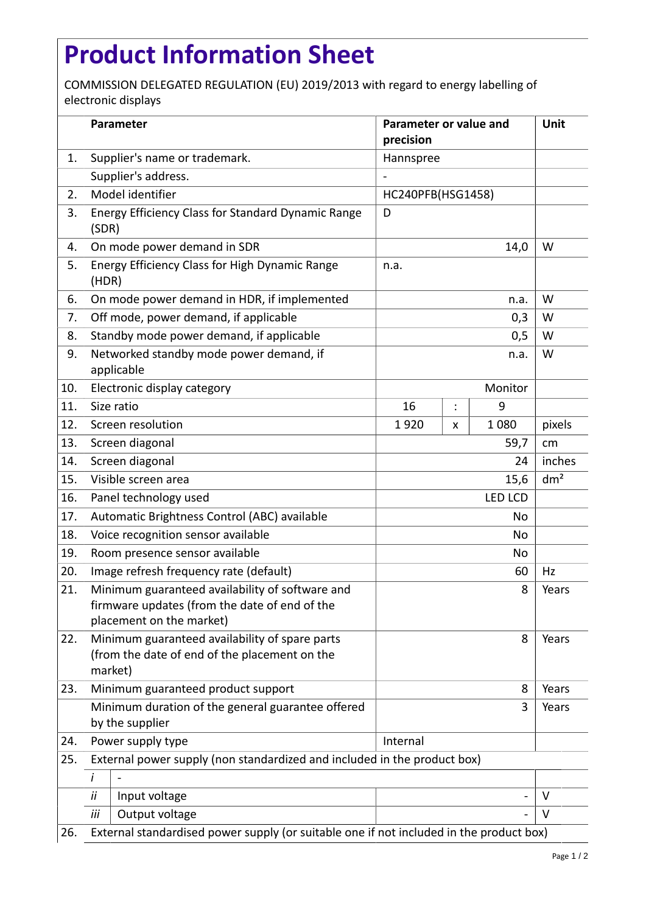## **Product Information Sheet**

COMMISSION DELEGATED REGULATION (EU) 2019/2013 with regard to energy labelling of electronic displays

|     | Parameter                                                                                                                    |                                                                                         | Parameter or value and<br>precision |                |                | Unit            |  |
|-----|------------------------------------------------------------------------------------------------------------------------------|-----------------------------------------------------------------------------------------|-------------------------------------|----------------|----------------|-----------------|--|
| 1.  |                                                                                                                              | Supplier's name or trademark.                                                           | Hannspree                           |                |                |                 |  |
|     |                                                                                                                              | Supplier's address.                                                                     |                                     |                |                |                 |  |
| 2.  |                                                                                                                              | Model identifier                                                                        | HC240PFB(HSG1458)                   |                |                |                 |  |
| 3.  | <b>Energy Efficiency Class for Standard Dynamic Range</b><br>D<br>(SDR)                                                      |                                                                                         |                                     |                |                |                 |  |
| 4.  |                                                                                                                              | On mode power demand in SDR                                                             | 14,0                                |                |                | W               |  |
| 5.  | (HDR)                                                                                                                        | Energy Efficiency Class for High Dynamic Range                                          | n.a.                                |                |                |                 |  |
| 6.  |                                                                                                                              | On mode power demand in HDR, if implemented                                             | n.a.                                |                |                | W               |  |
| 7.  |                                                                                                                              | Off mode, power demand, if applicable                                                   | 0,3                                 |                |                | W               |  |
| 8.  |                                                                                                                              | Standby mode power demand, if applicable                                                | 0,5                                 |                |                | W               |  |
| 9.  |                                                                                                                              | Networked standby mode power demand, if<br>applicable                                   | n.a.                                |                |                | W               |  |
| 10. |                                                                                                                              | Electronic display category                                                             | Monitor                             |                |                |                 |  |
| 11. |                                                                                                                              | Size ratio                                                                              | 16                                  | $\ddot{\cdot}$ | 9              |                 |  |
| 12. |                                                                                                                              | Screen resolution                                                                       | 1920                                | x              | 1080           | pixels          |  |
| 13. |                                                                                                                              | Screen diagonal                                                                         | 59,7                                |                |                | cm              |  |
| 14. |                                                                                                                              | Screen diagonal                                                                         | 24                                  |                |                | inches          |  |
| 15. | Visible screen area                                                                                                          |                                                                                         |                                     |                | 15,6           | dm <sup>2</sup> |  |
| 16. | Panel technology used                                                                                                        |                                                                                         |                                     |                | <b>LED LCD</b> |                 |  |
| 17. | Automatic Brightness Control (ABC) available                                                                                 |                                                                                         | No                                  |                |                |                 |  |
| 18. | Voice recognition sensor available                                                                                           |                                                                                         | No                                  |                |                |                 |  |
| 19. | Room presence sensor available                                                                                               |                                                                                         |                                     | No             |                |                 |  |
| 20. | Image refresh frequency rate (default)                                                                                       |                                                                                         |                                     |                | 60             | Hz              |  |
| 21. | Minimum guaranteed availability of software and<br>firmware updates (from the date of end of the<br>placement on the market) |                                                                                         |                                     |                | 8              | Years           |  |
| 22. | Minimum guaranteed availability of spare parts<br>(from the date of end of the placement on the<br>market)                   |                                                                                         | 8                                   | Years          |                |                 |  |
| 23. | Minimum guaranteed product support                                                                                           |                                                                                         |                                     |                | 8              | Years           |  |
|     | Minimum duration of the general guarantee offered<br>by the supplier                                                         |                                                                                         | 3                                   | Years          |                |                 |  |
| 24. | Internal<br>Power supply type                                                                                                |                                                                                         |                                     |                |                |                 |  |
| 25. |                                                                                                                              | External power supply (non standardized and included in the product box)                |                                     |                |                |                 |  |
|     | i                                                                                                                            |                                                                                         |                                     |                |                |                 |  |
|     | ii                                                                                                                           | Input voltage                                                                           |                                     |                |                | V               |  |
|     | iii                                                                                                                          | Output voltage                                                                          |                                     |                |                | V               |  |
| 26. |                                                                                                                              | External standardised power supply (or suitable one if not included in the product box) |                                     |                |                |                 |  |